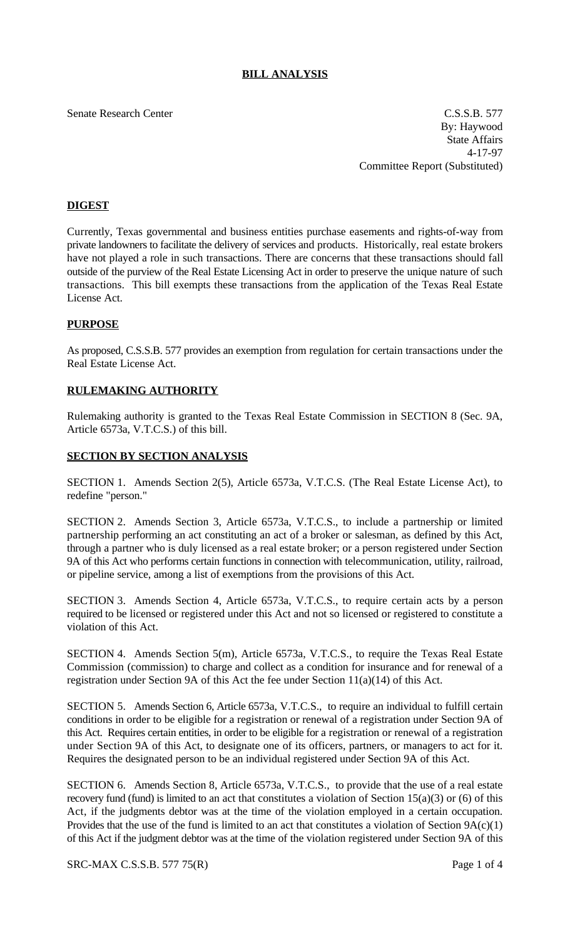# **BILL ANALYSIS**

#### Senate Research Center Cassach Center C.S.S.B. 577

By: Haywood State Affairs 4-17-97 Committee Report (Substituted)

# **DIGEST**

Currently, Texas governmental and business entities purchase easements and rights-of-way from private landowners to facilitate the delivery of services and products. Historically, real estate brokers have not played a role in such transactions. There are concerns that these transactions should fall outside of the purview of the Real Estate Licensing Act in order to preserve the unique nature of such transactions. This bill exempts these transactions from the application of the Texas Real Estate License Act.

## **PURPOSE**

As proposed, C.S.S.B. 577 provides an exemption from regulation for certain transactions under the Real Estate License Act.

## **RULEMAKING AUTHORITY**

Rulemaking authority is granted to the Texas Real Estate Commission in SECTION 8 (Sec. 9A, Article 6573a, V.T.C.S.) of this bill.

#### **SECTION BY SECTION ANALYSIS**

SECTION 1. Amends Section 2(5), Article 6573a, V.T.C.S. (The Real Estate License Act), to redefine "person."

SECTION 2. Amends Section 3, Article 6573a, V.T.C.S., to include a partnership or limited partnership performing an act constituting an act of a broker or salesman, as defined by this Act, through a partner who is duly licensed as a real estate broker; or a person registered under Section 9A of this Act who performs certain functions in connection with telecommunication, utility, railroad, or pipeline service, among a list of exemptions from the provisions of this Act.

SECTION 3. Amends Section 4, Article 6573a, V.T.C.S., to require certain acts by a person required to be licensed or registered under this Act and not so licensed or registered to constitute a violation of this Act.

SECTION 4. Amends Section 5(m), Article 6573a, V.T.C.S., to require the Texas Real Estate Commission (commission) to charge and collect as a condition for insurance and for renewal of a registration under Section 9A of this Act the fee under Section 11(a)(14) of this Act.

SECTION 5. Amends Section 6, Article 6573a, V.T.C.S., to require an individual to fulfill certain conditions in order to be eligible for a registration or renewal of a registration under Section 9A of this Act. Requires certain entities, in order to be eligible for a registration or renewal of a registration under Section 9A of this Act, to designate one of its officers, partners, or managers to act for it. Requires the designated person to be an individual registered under Section 9A of this Act.

SECTION 6. Amends Section 8, Article 6573a, V.T.C.S., to provide that the use of a real estate recovery fund (fund) is limited to an act that constitutes a violation of Section 15(a)(3) or (6) of this Act, if the judgments debtor was at the time of the violation employed in a certain occupation. Provides that the use of the fund is limited to an act that constitutes a violation of Section 9A(c)(1) of this Act if the judgment debtor was at the time of the violation registered under Section 9A of this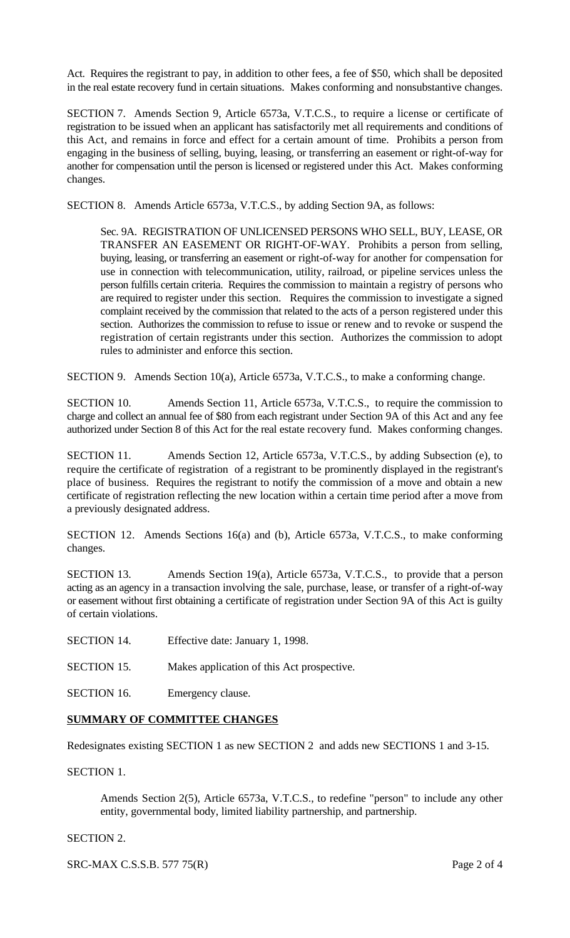Act. Requires the registrant to pay, in addition to other fees, a fee of \$50, which shall be deposited in the real estate recovery fund in certain situations. Makes conforming and nonsubstantive changes.

SECTION 7. Amends Section 9, Article 6573a, V.T.C.S., to require a license or certificate of registration to be issued when an applicant has satisfactorily met all requirements and conditions of this Act, and remains in force and effect for a certain amount of time. Prohibits a person from engaging in the business of selling, buying, leasing, or transferring an easement or right-of-way for another for compensation until the person is licensed or registered under this Act. Makes conforming changes.

SECTION 8. Amends Article 6573a, V.T.C.S., by adding Section 9A, as follows:

Sec. 9A. REGISTRATION OF UNLICENSED PERSONS WHO SELL, BUY, LEASE, OR TRANSFER AN EASEMENT OR RIGHT-OF-WAY. Prohibits a person from selling, buying, leasing, or transferring an easement or right-of-way for another for compensation for use in connection with telecommunication, utility, railroad, or pipeline services unless the person fulfills certain criteria. Requires the commission to maintain a registry of persons who are required to register under this section. Requires the commission to investigate a signed complaint received by the commission that related to the acts of a person registered under this section. Authorizes the commission to refuse to issue or renew and to revoke or suspend the registration of certain registrants under this section. Authorizes the commission to adopt rules to administer and enforce this section.

SECTION 9. Amends Section 10(a), Article 6573a, V.T.C.S., to make a conforming change.

SECTION 10. Amends Section 11, Article 6573a, V.T.C.S., to require the commission to charge and collect an annual fee of \$80 from each registrant under Section 9A of this Act and any fee authorized under Section 8 of this Act for the real estate recovery fund. Makes conforming changes.

SECTION 11. Amends Section 12, Article 6573a, V.T.C.S., by adding Subsection (e), to require the certificate of registration of a registrant to be prominently displayed in the registrant's place of business. Requires the registrant to notify the commission of a move and obtain a new certificate of registration reflecting the new location within a certain time period after a move from a previously designated address.

SECTION 12. Amends Sections 16(a) and (b), Article 6573a, V.T.C.S., to make conforming changes.

SECTION 13. Amends Section 19(a), Article 6573a, V.T.C.S., to provide that a person acting as an agency in a transaction involving the sale, purchase, lease, or transfer of a right-of-way or easement without first obtaining a certificate of registration under Section 9A of this Act is guilty of certain violations.

- SECTION 14. Effective date: January 1, 1998.
- SECTION 15. Makes application of this Act prospective.
- SECTION 16. Emergency clause.

## **SUMMARY OF COMMITTEE CHANGES**

Redesignates existing SECTION 1 as new SECTION 2 and adds new SECTIONS 1 and 3-15.

SECTION 1.

Amends Section 2(5), Article 6573a, V.T.C.S., to redefine "person" to include any other entity, governmental body, limited liability partnership, and partnership.

## SECTION 2.

SRC-MAX C.S.S.B. 577 75(R) Page 2 of 4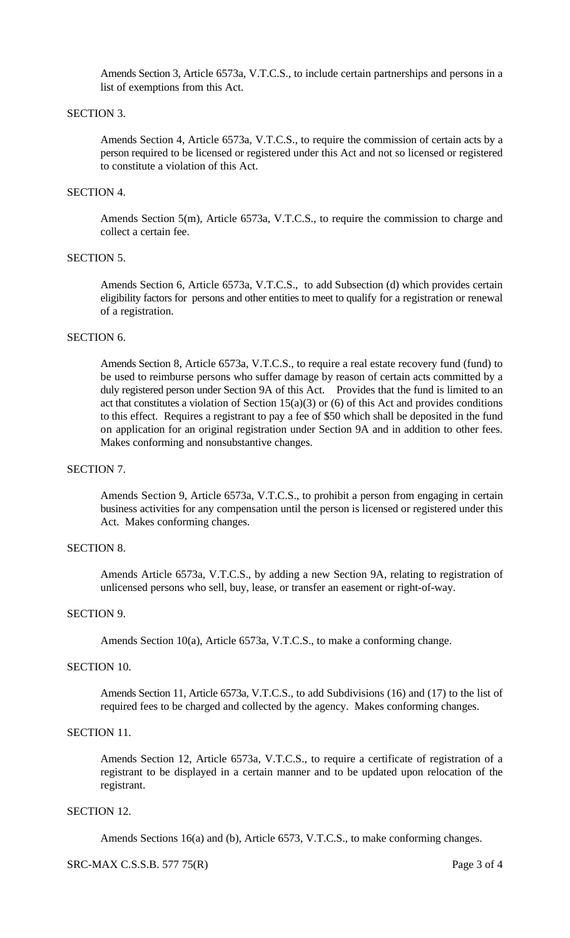Amends Section 3, Article 6573a, V.T.C.S., to include certain partnerships and persons in a list of exemptions from this Act.

### SECTION 3.

Amends Section 4, Article 6573a, V.T.C.S., to require the commission of certain acts by a person required to be licensed or registered under this Act and not so licensed or registered to constitute a violation of this Act.

# SECTION 4.

Amends Section 5(m), Article 6573a, V.T.C.S., to require the commission to charge and collect a certain fee.

# SECTION 5.

Amends Section 6, Article 6573a, V.T.C.S., to add Subsection (d) which provides certain eligibility factors for persons and other entities to meet to qualify for a registration or renewal of a registration.

# SECTION 6.

Amends Section 8, Article 6573a, V.T.C.S., to require a real estate recovery fund (fund) to be used to reimburse persons who suffer damage by reason of certain acts committed by a duly registered person under Section 9A of this Act. Provides that the fund is limited to an act that constitutes a violation of Section  $15(a)(3)$  or  $(6)$  of this Act and provides conditions to this effect. Requires a registrant to pay a fee of \$50 which shall be deposited in the fund on application for an original registration under Section 9A and in addition to other fees. Makes conforming and nonsubstantive changes.

#### SECTION 7.

Amends Section 9, Article 6573a, V.T.C.S., to prohibit a person from engaging in certain business activities for any compensation until the person is licensed or registered under this Act. Makes conforming changes.

## SECTION 8.

Amends Article 6573a, V.T.C.S., by adding a new Section 9A, relating to registration of unlicensed persons who sell, buy, lease, or transfer an easement or right-of-way.

#### SECTION 9.

Amends Section 10(a), Article 6573a, V.T.C.S., to make a conforming change.

#### SECTION 10.

Amends Section 11, Article 6573a, V.T.C.S., to add Subdivisions (16) and (17) to the list of required fees to be charged and collected by the agency. Makes conforming changes.

#### SECTION 11.

Amends Section 12, Article 6573a, V.T.C.S., to require a certificate of registration of a registrant to be displayed in a certain manner and to be updated upon relocation of the registrant.

#### SECTION 12.

Amends Sections 16(a) and (b), Article 6573, V.T.C.S., to make conforming changes.